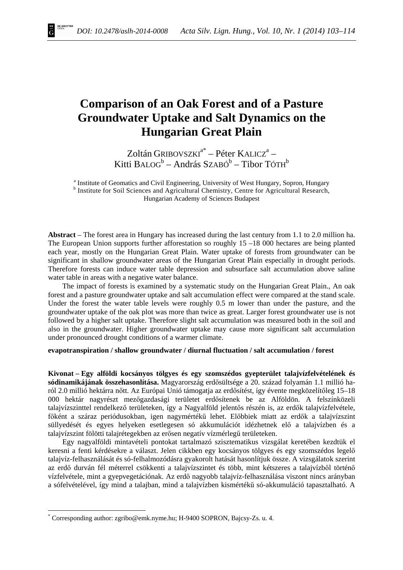# **Comparison of an Oak Forest and of a Pasture Groundwater Uptake and Salt Dynamics on the Hungarian Great Plain**

Zoltán Gribovszki<sup>a\*</sup> – Péter Kalicz<sup>a</sup> – Kitti BALOG<sup>b</sup> – András Szabó<sup>b</sup> – Tibor Tóth<sup>b</sup>

<sup>a</sup> Institute of Geomatics and Civil Engineering, University of West Hungary, Sopron, Hungary <sup>b</sup> Institute for Soil Sciences and Agricultural Chemistry, Centre for Agricultural Research, Hungarian Academy of Sciences Budapest

**Abstract** – The forest area in Hungary has increased during the last century from 1.1 to 2.0 million ha. The European Union supports further afforestation so roughly 15 –18 000 hectares are being planted each year, mostly on the Hungarian Great Plain. Water uptake of forests from groundwater can be significant in shallow groundwater areas of the Hungarian Great Plain especially in drought periods. Therefore forests can induce water table depression and subsurface salt accumulation above saline water table in areas with a negative water balance.

The impact of forests is examined by a systematic study on the Hungarian Great Plain., An oak forest and a pasture groundwater uptake and salt accumulation effect were compared at the stand scale. Under the forest the water table levels were roughly 0.5 m lower than under the pasture, and the groundwater uptake of the oak plot was more than twice as great. Larger forest groundwater use is not followed by a higher salt uptake. Therefore slight salt accumulation was measured both in the soil and also in the groundwater. Higher groundwater uptake may cause more significant salt accumulation under pronounced drought conditions of a warmer climate.

#### **evapotranspiration / shallow groundwater / diurnal fluctuation / salt accumulation / forest**

**Kivonat – Egy alföldi kocsányos tölgyes és egy szomszédos gyepterület talajvízfelvételének és sódinamikájának összehasonlítása.** Magyarország erdősültsége a 20. század folyamán 1.1 millió haról 2.0 millió hektárra nőtt. Az Európai Unió támogatja az erdősítést, így évente megközelítőleg 15–18 000 hektár nagyrészt mezőgazdasági területet erdősítenek be az Alföldön. A felszínközeli talajvízszinttel rendelkező területeken, így a Nagyalföld jelentős részén is, az erdők talajvízfelvétele, főként a száraz periódusokban, igen nagymértékű lehet. Előbbiek miatt az erdők a talajvízszint süllyedését és egyes helyeken esetlegesen só akkumulációt idézhetnek elő a talajvízben és a talajvízszint fölötti talajrétegekben az erősen negatív vízmérlegű területeken.

Egy nagyalföldi mintavételi pontokat tartalmazó szisztematikus vizsgálat keretében kezdtük el keresni a fenti kérdésekre a választ. Jelen cikkben egy kocsányos tölgyes és egy szomszédos legelő talajvíz-felhasználását és só-felhalmozódásra gyakorolt hatását hasonlítjuk össze. A vizsgálatok szerint az erdő durván fél méterrel csökkenti a talajvízszintet és több, mint kétszeres a talajvízből történő vízfelvétele, mint a gyepvegetációnak. Az erdő nagyobb talajvíz-felhasználása viszont nincs arányban a sófelvételével, így mind a talajban, mind a talajvízben kismértékű só-akkumuláció tapasztalható. A

 $\overline{a}$ 

 $\frac{5}{6}$ 

<sup>\*</sup> Corresponding author: zgribo@emk.nyme.hu; H-9400 SOPRON, Bajcsy-Zs. u. 4.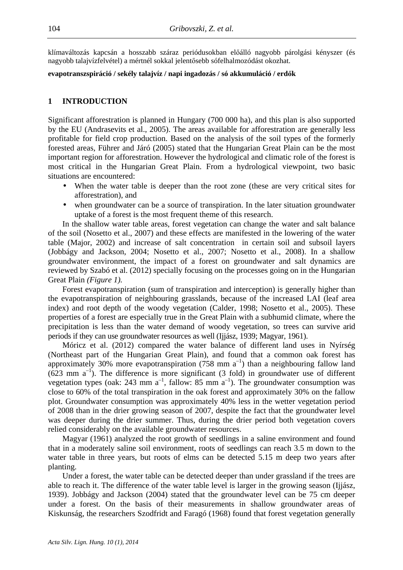klímaváltozás kapcsán a hosszabb száraz periódusokban előálló nagyobb párolgási kényszer (és nagyobb talajvízfelvétel) a mértnél sokkal jelentősebb sófelhalmozódást okozhat.

# **evapotranszspiráció / sekély talajvíz / napi ingadozás / só akkumuláció / erd**ő**k**

# **1 INTRODUCTION**

Significant afforestration is planned in Hungary (700 000 ha), and this plan is also supported by the EU (Andrasevits et al., 2005). The areas available for afforestration are generally less profitable for field crop production. Based on the analysis of the soil types of the formerly forested areas, Führer and Járó (2005) stated that the Hungarian Great Plain can be the most important region for afforestration. However the hydrological and climatic role of the forest is most critical in the Hungarian Great Plain. From a hydrological viewpoint, two basic situations are encountered:

- When the water table is deeper than the root zone (these are very critical sites for afforestration), and
- when groundwater can be a source of transpiration. In the later situation groundwater uptake of a forest is the most frequent theme of this research.

In the shallow water table areas, forest vegetation can change the water and salt balance of the soil (Nosetto et al., 2007) and these effects are manifested in the lowering of the water table (Major, 2002) and increase of salt concentration in certain soil and subsoil layers (Jobbágy and Jackson, 2004; Nosetto et al., 2007; Nosetto et al., 2008). In a shallow groundwater environment, the impact of a forest on groundwater and salt dynamics are reviewed by Szabó et al. (2012) specially focusing on the processes going on in the Hungarian Great Plain *(Figure 1).*

Forest evapotranspiration (sum of transpiration and interception) is generally higher than the evapotranspiration of neighbouring grasslands, because of the increased LAI (leaf area index) and root depth of the woody vegetation (Calder, 1998; Nosetto et al., 2005). These properties of a forest are especially true in the Great Plain with a subhumid climate, where the precipitation is less than the water demand of woody vegetation, so trees can survive arid periods if they can use groundwater resources as well (Ijjász, 1939; Magyar, 1961).

Móricz et al. (2012) compared the water balance of different land uses in Nyírség (Northeast part of the Hungarian Great Plain), and found that a common oak forest has approximately 30% more evapotranspiration (758 mm  $a^{-1}$ ) than a neighbouring fallow land  $(623 \text{ mm } a^{-1})$ . The difference is more significant (3 fold) in groundwater use of different vegetation types (oak: 243 mm  $a^{-1}$ , fallow: 85 mm  $a^{-1}$ ). The groundwater consumption was close to 60% of the total transpiration in the oak forest and approximately 30% on the fallow plot. Groundwater consumption was approximately 40% less in the wetter vegetation period of 2008 than in the drier growing season of 2007, despite the fact that the groundwater level was deeper during the drier summer. Thus, during the drier period both vegetation covers relied considerably on the available groundwater resources.

Magyar (1961) analyzed the root growth of seedlings in a saline environment and found that in a moderately saline soil environment, roots of seedlings can reach 3.5 m down to the water table in three years, but roots of elms can be detected 5.15 m deep two years after planting.

Under a forest, the water table can be detected deeper than under grassland if the trees are able to reach it. The difference of the water table level is larger in the growing season (Ijjász, 1939). Jobbágy and Jackson (2004) stated that the groundwater level can be 75 cm deeper under a forest. On the basis of their measurements in shallow groundwater areas of Kiskunság, the researchers Szodfridt and Faragó (1968) found that forest vegetation generally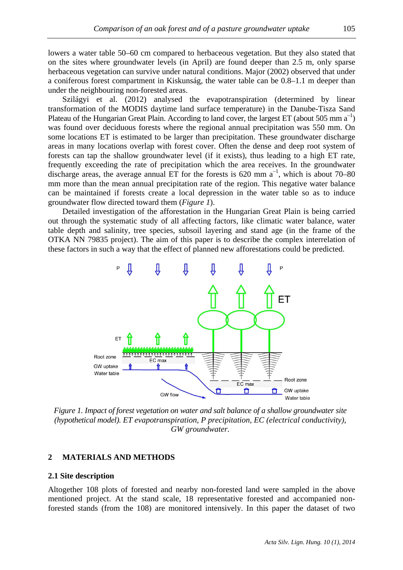lowers a water table 50–60 cm compared to herbaceous vegetation. But they also stated that on the sites where groundwater levels (in April) are found deeper than 2.5 m, only sparse herbaceous vegetation can survive under natural conditions. Major (2002) observed that under a coniferous forest compartment in Kiskunság, the water table can be 0.8–1.1 m deeper than under the neighbouring non-forested areas.

Szilágyi et al. (2012) analysed the evapotranspiration (determined by linear transformation of the MODIS daytime land surface temperature) in the Danube-Tisza Sand Plateau of the Hungarian Great Plain. According to land cover, the largest ET (about 505 mm  $a^{-1}$ ) was found over deciduous forests where the regional annual precipitation was 550 mm. On some locations ET is estimated to be larger than precipitation. These groundwater discharge areas in many locations overlap with forest cover. Often the dense and deep root system of forests can tap the shallow groundwater level (if it exists), thus leading to a high ET rate, frequently exceeding the rate of precipitation which the area receives. In the groundwater discharge areas, the average annual ET for the forests is  $620 \text{ mm a}^{-1}$ , which is about 70–80 mm more than the mean annual precipitation rate of the region. This negative water balance can be maintained if forests create a local depression in the water table so as to induce groundwater flow directed toward them (*Figure 1*).

Detailed investigation of the afforestation in the Hungarian Great Plain is being carried out through the systematic study of all affecting factors, like climatic water balance, water table depth and salinity, tree species, subsoil layering and stand age (in the frame of the OTKA NN 79835 project). The aim of this paper is to describe the complex interrelation of these factors in such a way that the effect of planned new afforestations could be predicted.



*Figure 1. Impact of forest vegetation on water and salt balance of a shallow groundwater site (hypothetical model). ET evapotranspiration, P precipitation, EC (electrical conductivity), GW groundwater.* 

# **2 MATERIALS AND METHODS**

#### **2.1 Site description**

Altogether 108 plots of forested and nearby non-forested land were sampled in the above mentioned project. At the stand scale, 18 representative forested and accompanied nonforested stands (from the 108) are monitored intensively. In this paper the dataset of two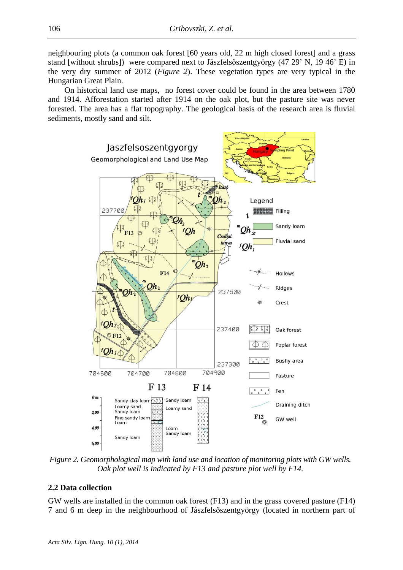neighbouring plots (a common oak forest [60 years old, 22 m high closed forest] and a grass stand [without shrubs]) were compared next to Jászfelsőszentgyörgy (47 29' N, 19 46' E) in the very dry summer of 2012 (*Figure 2*). These vegetation types are very typical in the Hungarian Great Plain.

 On historical land use maps, no forest cover could be found in the area between 1780 and 1914. Afforestation started after 1914 on the oak plot, but the pasture site was never forested. The area has a flat topography. The geological basis of the research area is fluvial sediments, mostly sand and silt.



*Figure 2. Geomorphological map with land use and location of monitoring plots with GW wells. Oak plot well is indicated by F13 and pasture plot well by F14.* 

# **2.2 Data collection**

GW wells are installed in the common oak forest (F13) and in the grass covered pasture (F14) 7 and 6 m deep in the neighbourhood of Jászfelsőszentgyörgy (located in northern part of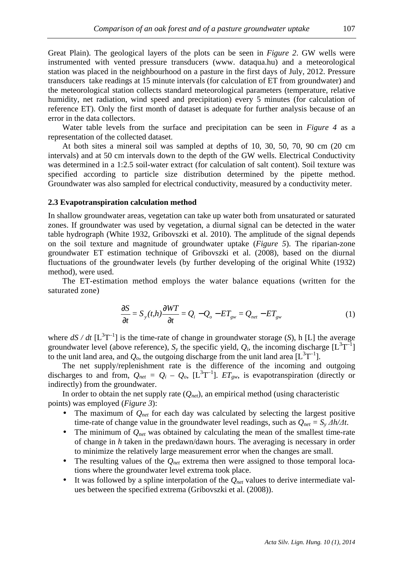Great Plain). The geological layers of the plots can be seen in *Figure 2*. GW wells were instrumented with vented pressure transducers (www. dataqua.hu) and a meteorological station was placed in the neighbourhood on a pasture in the first days of July, 2012. Pressure transducers take readings at 15 minute intervals (for calculation of ET from groundwater) and the meteorological station collects standard meteorological parameters (temperature, relative humidity, net radiation, wind speed and precipitation) every 5 minutes (for calculation of reference ET). Only the first month of dataset is adequate for further analysis because of an error in the data collectors.

Water table levels from the surface and precipitation can be seen in *Figure 4* as a representation of the collected dataset.

At both sites a mineral soil was sampled at depths of 10, 30, 50, 70, 90 cm (20 cm intervals) and at 50 cm intervals down to the depth of the GW wells. Electrical Conductivity was determined in a 1:2.5 soil-water extract (for calculation of salt content). Soil texture was specified according to particle size distribution determined by the pipette method. Groundwater was also sampled for electrical conductivity, measured by a conductivity meter.

#### **2.3 Evapotranspiration calculation method**

In shallow groundwater areas, vegetation can take up water both from unsaturated or saturated zones. If groundwater was used by vegetation, a diurnal signal can be detected in the water table hydrograph (White 1932, Gribovszki et al. 2010). The amplitude of the signal depends on the soil texture and magnitude of groundwater uptake (*Figure 5*). The riparian-zone groundwater ET estimation technique of Gribovszki et al. (2008), based on the diurnal fluctuations of the groundwater levels (by further developing of the original White (1932) method), were used.

The ET-estimation method employs the water balance equations (written for the saturated zone)

$$
\frac{\partial S}{\partial t} = S_{y}(t, h) \frac{\partial WT}{\partial t} = Q_{i} - Q_{o} - ET_{gw} = Q_{net} - ET_{gw}
$$
\n(1)

where  $dS/dt$  [ $L^{3}T^{-1}$ ] is the time-rate of change in groundwater storage (S), h [L] the average groundwater level (above reference),  $S_y$  the specific yield,  $Q_i$ , the incoming discharge  $[L^3T^{-1}]$ to the unit land area, and  $Q_o$ , the outgoing discharge from the unit land area  $[L^3T^{-1}]$ .

The net supply/replenishment rate is the difference of the incoming and outgoing discharges to and from,  $Q_{net} = Q_i - Q_o$ ,  $[L^3T^{-1}]$ .  $ET_{gw}$ , is evapotranspiration (directly or indirectly) from the groundwater.

In order to obtain the net supply rate (*Qnet*), an empirical method (using characteristic points) was employed (*Figure 3*):

- The maximum of  $Q_{net}$  for each day was calculated by selecting the largest positive time-rate of change value in the groundwater level readings, such as  $Q_{net} = S_y \Delta h / \Delta t$ .
- The minimum of  $Q_{net}$  was obtained by calculating the mean of the smallest time-rate of change in *h* taken in the predawn/dawn hours. The averaging is necessary in order to minimize the relatively large measurement error when the changes are small.
- The resulting values of the  $Q_{net}$  extrema then were assigned to those temporal locations where the groundwater level extrema took place.
- It was followed by a spline interpolation of the  $Q_{net}$  values to derive intermediate values between the specified extrema (Gribovszki et al. (2008)).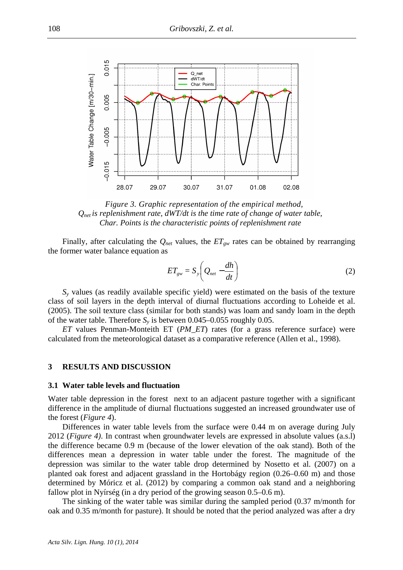

*Figure 3. Graphic representation of the empirical method, Qnet is replenishment rate, dWT/dt is the time rate of change of water table, Char. Points is the characteristic points of replenishment rate* 

Finally, after calculating the  $Q_{net}$  values, the  $ET_{gw}$  rates can be obtained by rearranging the former water balance equation as

$$
ET_{gw} = S_y \left(Q_{net} - \frac{dh}{dt}\right)
$$
 (2)

 $S<sub>v</sub>$  values (as readily available specific yield) were estimated on the basis of the texture class of soil layers in the depth interval of diurnal fluctuations according to Loheide et al. (2005). The soil texture class (similar for both stands) was loam and sandy loam in the depth of the water table. Therefore  $S_y$  is between 0.045–0.055 roughly 0.05.

*ET* values Penman-Monteith ET (*PM\_ET*) rates (for a grass reference surface) were calculated from the meteorological dataset as a comparative reference (Allen et al., 1998).

## **3 RESULTS AND DISCUSSION**

#### **3.1 Water table levels and fluctuation**

Water table depression in the forest next to an adjacent pasture together with a significant difference in the amplitude of diurnal fluctuations suggested an increased groundwater use of the forest (*Figure 4*).

Differences in water table levels from the surface were 0.44 m on average during July 2012 (*Figure 4)*. In contrast when groundwater levels are expressed in absolute values (a.s.l) the difference became 0.9 m (because of the lower elevation of the oak stand). Both of the differences mean a depression in water table under the forest. The magnitude of the depression was similar to the water table drop determined by Nosetto et al. (2007) on a planted oak forest and adjacent grassland in the Hortobágy region (0.26–0.60 m) and those determined by Móricz et al. (2012) by comparing a common oak stand and a neighboring fallow plot in Nyírség (in a dry period of the growing season 0.5–0.6 m).

The sinking of the water table was similar during the sampled period (0.37 m/month for oak and 0.35 m/month for pasture). It should be noted that the period analyzed was after a dry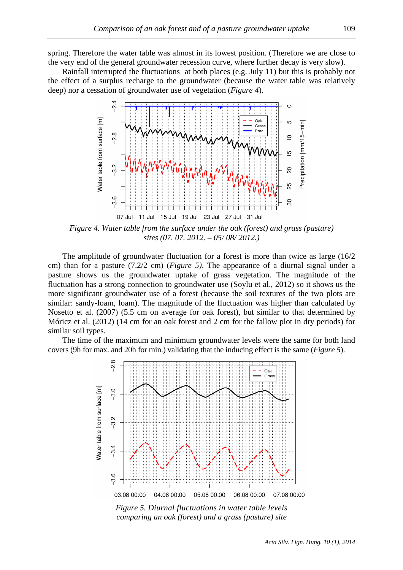spring. Therefore the water table was almost in its lowest position. (Therefore we are close to the very end of the general groundwater recession curve, where further decay is very slow).

Rainfall interrupted the fluctuations at both places (e.g. July 11) but this is probably not the effect of a surplus recharge to the groundwater (because the water table was relatively deep) nor a cessation of groundwater use of vegetation (*Figure 4*).



*Figure 4. Water table from the surface under the oak (forest) and grass (pasture) sites (07. 07. 2012. – 05/ 08/ 2012.)*

The amplitude of groundwater fluctuation for a forest is more than twice as large (16/2 cm) than for a pasture (7.2/2 cm) (*Figure 5)*. The appearance of a diurnal signal under a pasture shows us the groundwater uptake of grass vegetation. The magnitude of the fluctuation has a strong connection to groundwater use (Soylu et al., 2012) so it shows us the more significant groundwater use of a forest (because the soil textures of the two plots are similar: sandy-loam, loam). The magnitude of the fluctuation was higher than calculated by Nosetto et al. (2007) (5.5 cm on average for oak forest), but similar to that determined by Móricz et al. (2012) (14 cm for an oak forest and 2 cm for the fallow plot in dry periods) for similar soil types.

 The time of the maximum and minimum groundwater levels were the same for both land covers (9h for max. and 20h for min.) validating that the inducing effect is the same (*Figure 5*).



*Figure 5. Diurnal fluctuations in water table levels comparing an oak (forest) and a grass (pasture) site*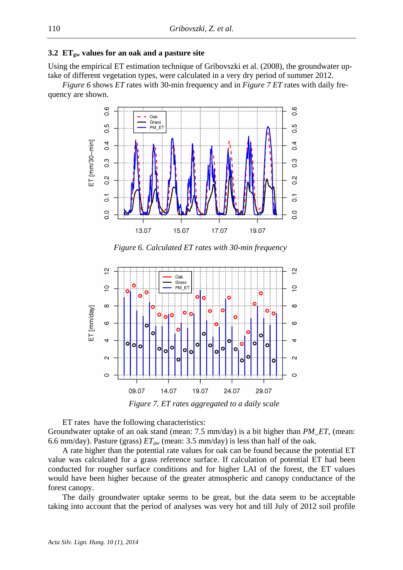### **3.2 ETgw values for an oak and a pasture site**

Using the empirical ET estimation technique of Gribovszki et al. (2008), the groundwater uptake of different vegetation types, were calculated in a very dry period of summer 2012.

*Figure 6* shows *ET* rates with 30-min frequency and in *Figure 7 ET* rates with daily frequency are shown.



*Figure 6. Calculated ET rates with 30-min frequency*



*Figure 7. ET rates aggregated to a daily scale* 

ET rates have the following characteristics: Groundwater uptake of an oak stand (mean: 7.5 mm/day) is a bit higher than *PM\_ET*, (mean: 6.6 mm/day). Pasture (grass)  $ET_{gw}$  (mean: 3.5 mm/day) is less than half of the oak.

A rate higher than the potential rate values for oak can be found because the potential ET value was calculated for a grass reference surface. If calculation of potential ET had been conducted for rougher surface conditions and for higher LAI of the forest, the ET values would have been higher because of the greater atmospheric and canopy conductance of the forest canopy.

The daily groundwater uptake seems to be great, but the data seem to be acceptable taking into account that the period of analyses was very hot and till July of 2012 soil profile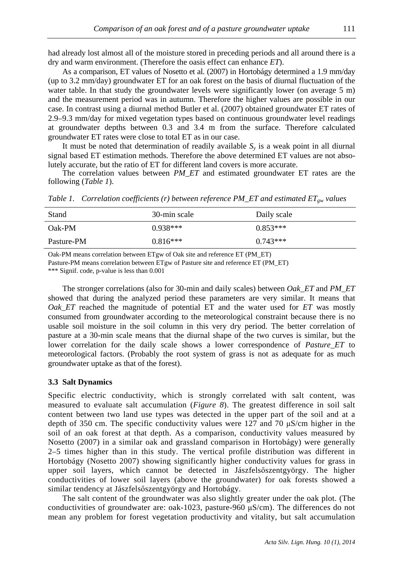had already lost almost all of the moisture stored in preceding periods and all around there is a dry and warm environment. (Therefore the oasis effect can enhance *ET*).

As a comparison, ET values of Nosetto et al. (2007) in Hortobágy determined a 1.9 mm/day (up to 3.2 mm/day) groundwater ET for an oak forest on the basis of diurnal fluctuation of the water table. In that study the groundwater levels were significantly lower (on average 5 m) and the measurement period was in autumn. Therefore the higher values are possible in our case. In contrast using a diurnal method Butler et al. (2007) obtained groundwater ET rates of 2.9–9.3 mm/day for mixed vegetation types based on continuous groundwater level readings at groundwater depths between 0.3 and 3.4 m from the surface. Therefore calculated groundwater ET rates were close to total ET as in our case.

It must be noted that determination of readily available  $S<sub>v</sub>$  is a weak point in all diurnal signal based ET estimation methods. Therefore the above determined ET values are not absolutely accurate, but the ratio of ET for different land covers is more accurate.

The correlation values between *PM\_ET* and estimated groundwater ET rates are the following (*Table 1*).

| Stand      | 30-min scale | Daily scale |
|------------|--------------|-------------|
| Oak-PM     | $0.938***$   | $0.853***$  |
| Pasture-PM | $0.816***$   | $0.743***$  |

*Table 1. Correlation coefficients (r) between reference PM\_ET and estimated ETgw values* 

Oak-PM means correlation between ETgw of Oak site and reference ET (PM\_ET)

Pasture-PM means correlation between ETgw of Pasture site and reference ET (PM\_ET)

\*\*\* Signif. code, p-value is less than 0.001

The stronger correlations (also for 30-min and daily scales) between *Oak\_ET* and *PM\_ET* showed that during the analyzed period these parameters are very similar. It means that *Oak ET* reached the magnitude of potential ET and the water used for *ET* was mostly consumed from groundwater according to the meteorological constraint because there is no usable soil moisture in the soil column in this very dry period. The better correlation of pasture at a 30-min scale means that the diurnal shape of the two curves is similar, but the lower correlation for the daily scale shows a lower correspondence of *Pasture\_ET* to meteorological factors. (Probably the root system of grass is not as adequate for as much groundwater uptake as that of the forest).

# **3.3 Salt Dynamics**

Specific electric conductivity, which is strongly correlated with salt content, was measured to evaluate salt accumulation (*Figure 8*). The greatest difference in soil salt content between two land use types was detected in the upper part of the soil and at a depth of 350 cm. The specific conductivity values were 127 and 70 µS/cm higher in the soil of an oak forest at that depth. As a comparison, conductivity values measured by Nosetto (2007) in a similar oak and grassland comparison in Hortobágy) were generally 2–5 times higher than in this study. The vertical profile distribution was different in Hortobágy (Nosetto 2007) showing significantly higher conductivity values for grass in upper soil layers, which cannot be detected in Jászfelsőszentgyörgy. The higher conductivities of lower soil layers (above the groundwater) for oak forests showed a similar tendency at Jászfelsőszentgyörgy and Hortobágy.

The salt content of the groundwater was also slightly greater under the oak plot. (The conductivities of groundwater are: oak-1023, pasture-960 µS/cm). The differences do not mean any problem for forest vegetation productivity and vitality, but salt accumulation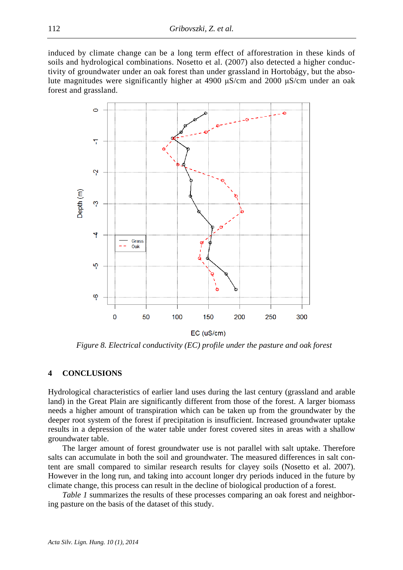induced by climate change can be a long term effect of afforestration in these kinds of soils and hydrological combinations. Nosetto et al. (2007) also detected a higher conductivity of groundwater under an oak forest than under grassland in Hortobágy, but the absolute magnitudes were significantly higher at 4900 µS/cm and 2000 µS/cm under an oak forest and grassland.



*Figure 8. Electrical conductivity (EC) profile under the pasture and oak forest*

# **4 CONCLUSIONS**

Hydrological characteristics of earlier land uses during the last century (grassland and arable land) in the Great Plain are significantly different from those of the forest. A larger biomass needs a higher amount of transpiration which can be taken up from the groundwater by the deeper root system of the forest if precipitation is insufficient. Increased groundwater uptake results in a depression of the water table under forest covered sites in areas with a shallow groundwater table.

The larger amount of forest groundwater use is not parallel with salt uptake. Therefore salts can accumulate in both the soil and groundwater. The measured differences in salt content are small compared to similar research results for clayey soils (Nosetto et al. 2007). However in the long run, and taking into account longer dry periods induced in the future by climate change, this process can result in the decline of biological production of a forest.

*Table 1* summarizes the results of these processes comparing an oak forest and neighboring pasture on the basis of the dataset of this study.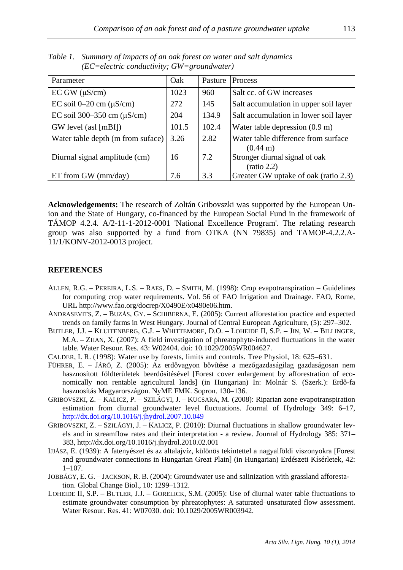| Parameter                         | Oak   | Pasture | Process                                  |
|-----------------------------------|-------|---------|------------------------------------------|
| $EC GW (\mu S/cm)$                | 1023  | 960     | Salt cc. of GW increases                 |
| EC soil $0-20$ cm $(\mu S/cm)$    | 272   | 145     | Salt accumulation in upper soil layer    |
| EC soil 300–350 cm $(\mu S/cm)$   | 204   | 134.9   | Salt accumulation in lower soil layer    |
| GW level (asl [mBf])              | 101.5 | 102.4   | Water table depression $(0.9 \text{ m})$ |
| Water table depth (m from suface) | 3.26  | 2.82    | Water table difference from surface      |
|                                   |       |         | $(0.44 \text{ m})$                       |
| Diurnal signal amplitude (cm)     | 16    | 7.2     | Stronger diurnal signal of oak           |
|                                   |       |         | (ratio 2.2)                              |
| ET from GW $\text{(mm/day)}$      | 7.6   | 3.3     | Greater GW uptake of oak (ratio 2.3)     |

*Table 1. Summary of impacts of an oak forest on water and salt dynamics (EC=electric conductivity; GW=groundwater)* 

**Acknowledgements:** The research of Zoltán Gribovszki was supported by the European Union and the State of Hungary, co-financed by the European Social Fund in the framework of TÁMOP 4.2.4. A/2-11-1-2012-0001 'National Excellence Program'. The relating research group was also supported by a fund from OTKA (NN 79835) and TAMOP-4.2.2.A-11/1/KONV-2012-0013 project.

# **REFERENCES**

- ALLEN, R.G. PEREIRA, L.S. RAES, D. SMITH, M. (1998): Crop evapotranspiration Guidelines for computing crop water requirements. Vol. 56 of FAO Irrigation and Drainage. FAO, Rome, URL http://www.fao.org/docrep/X0490E/x0490e06.htm.
- ANDRASEVITS, Z. BUZÁS, GY. SCHIBERNA, E. (2005): Current afforestation practice and expected trends on family farms in West Hungary. Journal of Central European Agriculture, (5): 297–302.
- BUTLER, J.J. KLUITENBERG, G.J. WHITTEMORE, D.O. LOHEIDE II, S.P. JIN, W. BILLINGER, M.A. – ZHAN, X. (2007): A field investigation of phreatophyte-induced fluctuations in the water table. Water Resour. Res. 43: W02404. doi: 10.1029/2005WR004627.
- CALDER, I. R. (1998): Water use by forests, limits and controls. Tree Physiol, 18: 625–631.
- FÜHRER, E. JÁRÓ, Z. (2005): Az erdővagyon bővítése a mezőgazdaságilag gazdaságosan nem hasznosított földterületek beerdősítésével [Forest cover enlargement by afforestration of economically non rentable agricultural lands] (in Hungarian) In: Molnár S. (Szerk.): Erdő-fa hasznosítás Magyarországon. NyME FMK. Sopron. 130–136.
- GRIBOVSZKI, Z. KALICZ, P. SZILÁGYI, J. KUCSARA, M. (2008): Riparian zone evapotranspiration estimation from diurnal groundwater level fluctuations. Journal of Hydrology 349: 6–17, http://dx.doi.org/10.1016/j.jhydrol.2007.10.049
- GRIBOVSZKI, Z. SZILÁGYI, J. KALICZ, P. (2010): Diurnal fluctuations in shallow groundwater levels and in streamflow rates and their interpretation - a review. Journal of Hydrology 385: 371– 383, http://dx.doi.org/10.1016/j.jhydrol.2010.02.001
- IJJÁSZ, E. (1939): A fatenyészet és az altalajvíz, különös tekintettel a nagyalföldi viszonyokra [Forest and groundwater connections in Hungarian Great Plain] (in Hungarian) Erdészeti Kísérletek, 42:  $1-107$ .
- JOBBÁGY, E. G. JACKSON, R. B. (2004): Groundwater use and salinization with grassland afforestation. Global Change Biol., 10: 1299–1312.
- LOHEIDE II, S.P. BUTLER, J.J. GORELICK, S.M. (2005): Use of diurnal water table fluctuations to estimate groundwater consumption by phreatophytes: A saturated–unsaturated flow assessment. Water Resour. Res. 41: W07030. doi: 10.1029/2005WR003942.